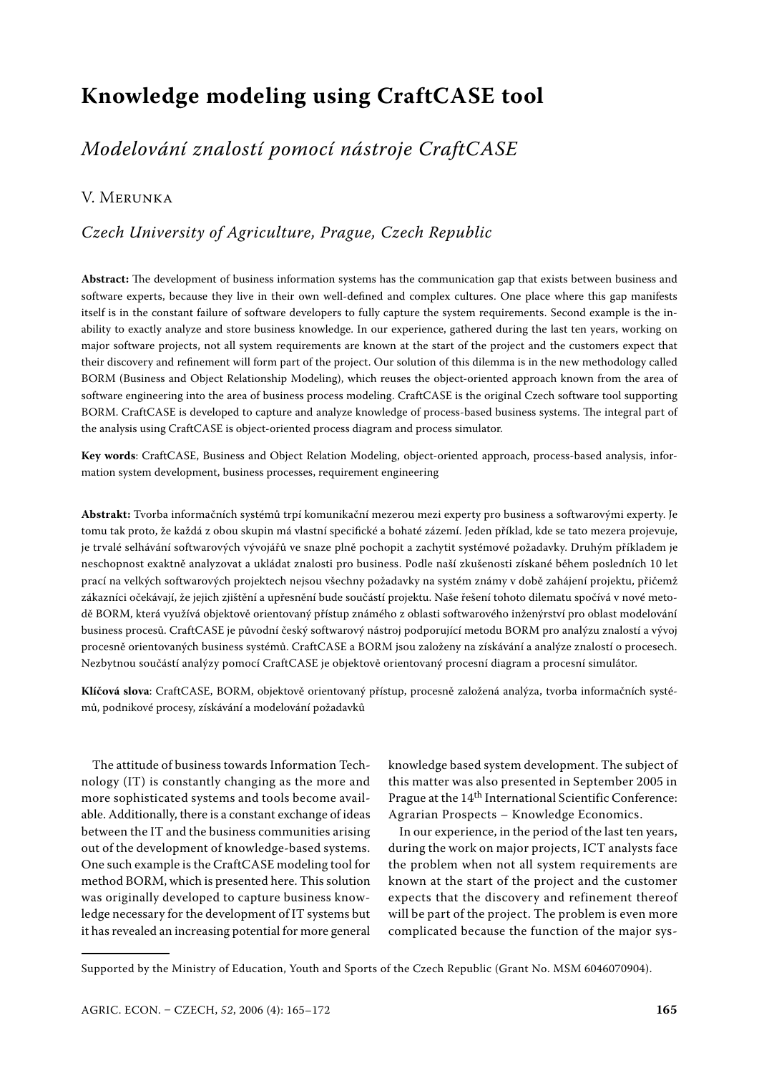# **Knowledge modeling using CraftCASE tool**

## *Modelování znalostí pomocí nástroje CraftCASE*

### V. MERUNKA

## *Czech University of Agriculture, Prague, Czech Republic*

**Abstract:** The development of business information systems has the communication gap that exists between business and software experts, because they live in their own well-defined and complex cultures. One place where this gap manifests itself is in the constant failure of software developers to fully capture the system requirements. Second example is the inability to exactly analyze and store business knowledge. In our experience, gathered during the last ten years, working on major software projects, not all system requirements are known at the start of the project and the customers expect that their discovery and refinement will form part of the project. Our solution of this dilemma is in the new methodology called BORM (Business and Object Relationship Modeling), which reuses the object-oriented approach known from the area of software engineering into the area of business process modeling. CraftCASE is the original Czech software tool supporting BORM. CraftCASE is developed to capture and analyze knowledge of process-based business systems. The integral part of the analysis using CraftCASE is object-oriented process diagram and process simulator.

**Key words**: CraftCASE, Business and Object Relation Modeling, object-oriented approach, process-based analysis, information system development, business processes, requirement engineering

**Abstrakt:** Tvorba informačních systémů trpí komunikační mezerou mezi experty pro business a softwarovými experty. Je tomu tak proto, že každá z obou skupin má vlastní specifické a bohaté zázemí. Jeden příklad, kde se tato mezera projevuje, je trvalé selhávání softwarových vývojářů ve snaze plně pochopit a zachytit systémové požadavky. Druhým příkladem je neschopnost exaktně analyzovat a ukládat znalosti pro business. Podle naší zkušenosti získané během posledních 10 let prací na velkých softwarových projektech nejsou všechny požadavky na systém známy v době zahájení projektu, přičemž zákazníci očekávají, že jejich zjištění a upřesnění bude součástí projektu. Naše řešení tohoto dilematu spočívá v nové metodě BORM, která využívá objektově orientovaný přístup známého z oblasti softwarového inženýrství pro oblast modelování business procesů. CraftCASE je původní český softwarový nástroj podporující metodu BORM pro analýzu znalostí a vývoj procesně orientovaných business systémů. CraftCASE a BORM jsou založeny na získávání a analýze znalostí o procesech. Nezbytnou součástí analýzy pomocí CraftCASE je objektově orientovaný procesní diagram a procesní simulátor.

**Klíčová slova**: CraftCASE, BORM, objektově orientovaný přístup, procesně založená analýza, tvorba informačních systémů, podnikové procesy, získávání a modelování požadavků

The attitude of business towards Information Technology (IT) is constantly changing as the more and more sophisticated systems and tools become available. Additionally, there is a constant exchange of ideas between the IT and the business communities arising out of the development of knowledge-based systems. One such example is the CraftCASE modeling tool for method BORM, which is presented here. This solution was originally developed to capture business knowledge necessary for the development of IT systems but it has revealed an increasing potential for more general

knowledge based system development. The subject of this matter was also presented in September 2005 in Prague at the 14<sup>th</sup> International Scientific Conference: Agrarian Prospects – Knowledge Economics.

In our experience, in the period of the last ten years, during the work on major projects, ICT analysts face the problem when not all system requirements are known at the start of the project and the customer expects that the discovery and refinement thereof will be part of the project. The problem is even more complicated because the function of the major sys-

Supported by the Ministry of Education, Youth and Sports of the Czech Republic (Grant No. MSM 6046070904).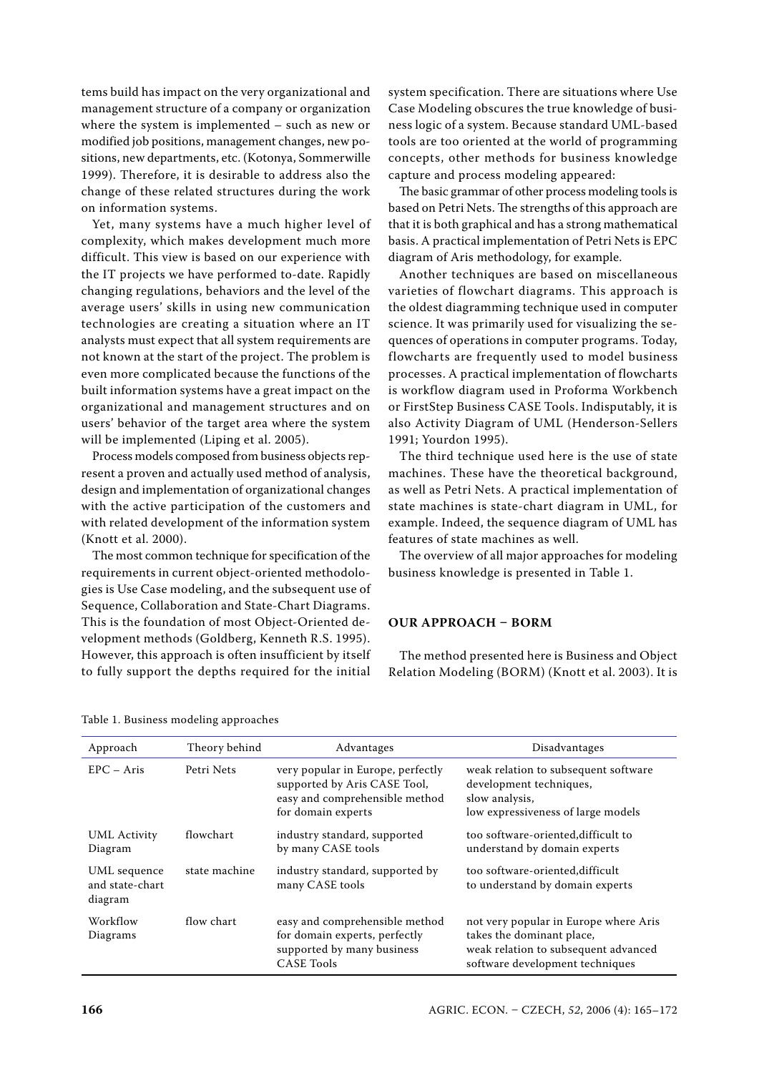tems build has impact on the very organizational and management structure of a company or organization where the system is implemented – such as new or modified job positions, management changes, new positions, new departments, etc. (Kotonya, Sommerwille 1999). Therefore, it is desirable to address also the change of these related structures during the work on information systems.

Yet, many systems have a much higher level of complexity, which makes development much more difficult. This view is based on our experience with the IT projects we have performed to-date. Rapidly changing regulations, behaviors and the level of the average users' skills in using new communication technologies are creating a situation where an IT analysts must expect that all system requirements are not known at the start of the project. The problem is even more complicated because the functions of the built information systems have a great impact on the organizational and management structures and on users' behavior of the target area where the system will be implemented (Liping et al. 2005).

Process models composed from business objects represent a proven and actually used method of analysis, design and implementation of organizational changes with the active participation of the customers and with related development of the information system (Knott et al. 2000).

The most common technique for specification of the requirements in current object-oriented methodologies is Use Case modeling, and the subsequent use of Sequence, Collaboration and State-Chart Diagrams. This is the foundation of most Object-Oriented development methods (Goldberg, Kenneth R.S. 1995). However, this approach is often insufficient by itself to fully support the depths required for the initial

system specification. There are situations where Use Case Modeling obscures the true knowledge of business logic of a system. Because standard UML-based tools are too oriented at the world of programming concepts, other methods for business knowledge capture and process modeling appeared:

The basic grammar of other process modeling tools is based on Petri Nets. The strengths of this approach are that it is both graphical and has a strong mathematical basis. A practical implementation of Petri Nets is EPC diagram of Aris methodology, for example.

Another techniques are based on miscellaneous varieties of flowchart diagrams. This approach is the oldest diagramming technique used in computer science. It was primarily used for visualizing the sequences of operations in computer programs. Today, flowcharts are frequently used to model business processes. A practical implementation of flowcharts is workflow diagram used in Proforma Workbench or FirstStep Business CASE Tools. Indisputably, it is also Activity Diagram of UML (Henderson-Sellers 1991; Yourdon 1995).

The third technique used here is the use of state machines. These have the theoretical background, as well as Petri Nets. A practical implementation of state machines is state-chart diagram in UML, for example. Indeed, the sequence diagram of UML has features of state machines as well.

The overview of all major approaches for modeling business knowledge is presented in Table 1.

#### **OUR APPROACH – BORM**

The method presented here is Business and Object Relation Modeling (BORM) (Knott et al. 2003). It is

| Approach                                   | Theory behind | Advantages                                                                                                                | Disadvantages                                                                                                                                 |
|--------------------------------------------|---------------|---------------------------------------------------------------------------------------------------------------------------|-----------------------------------------------------------------------------------------------------------------------------------------------|
| $EPC - Aris$                               | Petri Nets    | very popular in Europe, perfectly<br>supported by Aris CASE Tool,<br>easy and comprehensible method<br>for domain experts | weak relation to subsequent software<br>development techniques,<br>slow analysis,<br>low expressiveness of large models                       |
| <b>UML</b> Activity<br>Diagram             | flowchart     | industry standard, supported<br>by many CASE tools                                                                        | too software-oriented, difficult to<br>understand by domain experts                                                                           |
| UML sequence<br>and state-chart<br>diagram | state machine | industry standard, supported by<br>many CASE tools                                                                        | too software-oriented, difficult<br>to understand by domain experts                                                                           |
| Workflow<br>Diagrams                       | flow chart    | easy and comprehensible method<br>for domain experts, perfectly<br>supported by many business<br><b>CASE Tools</b>        | not very popular in Europe where Aris<br>takes the dominant place,<br>weak relation to subsequent advanced<br>software development techniques |

Table 1. Business modeling approaches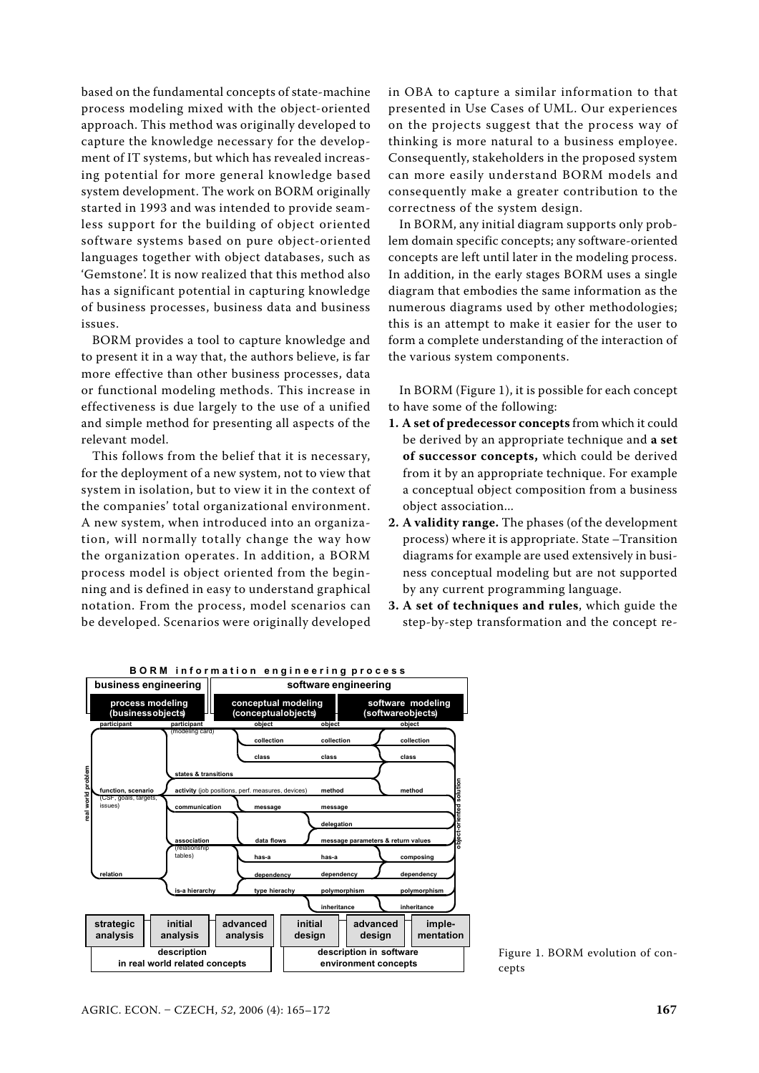based on the fundamental concepts of state-machine process modeling mixed with the object-oriented approach. This method was originally developed to capture the knowledge necessary for the development of IT systems, but which has revealed increasing potential for more general knowledge based system development. The work on BORM originally started in 1993 and was intended to provide seamless support for the building of object oriented software systems based on pure object-oriented languages together with object databases, such as 'Gemstone'. It is now realized that this method also has a significant potential in capturing knowledge of business processes, business data and business issues.

BORM provides a tool to capture knowledge and to present it in a way that, the authors believe, is far more effective than other business processes, data or functional modeling methods. This increase in effectiveness is due largely to the use of a unified and simple method for presenting all aspects of the relevant model.

This follows from the belief that it is necessary, for the deployment of a new system, not to view that system in isolation, but to view it in the context of the companies' total organizational environment. A new system, when introduced into an organization, will normally totally change the way how the organization operates. In addition, a BORM process model is object oriented from the beginning and is defined in easy to understand graphical notation. From the process, model scenarios can be developed. Scenarios were originally developed in OBA to capture a similar information to that presented in Use Cases of UML. Our experiences on the projects suggest that the process way of thinking is more natural to a business employee. Consequently, stakeholders in the proposed system can more easily understand BORM models and consequently make a greater contribution to the correctness of the system design.

In BORM, any initial diagram supports only problem domain specific concepts; any software-oriented concepts are left until later in the modeling process. In addition, in the early stages BORM uses a single diagram that embodies the same information as the numerous diagrams used by other methodologies; this is an attempt to make it easier for the user to form a complete understanding of the interaction of the various system components.

In BORM (Figure 1), it is possible for each concept to have some of the following:

- **1. A set of predecessor concepts** from which it could be derived by an appropriate technique and **a set of successor concepts,** which could be derived from it by an appropriate technique. For example a conceptual object composition from a business object association...
- **2. A validity range.** The phases (of the development process) where it is appropriate. State –Transition diagrams for example are used extensively in business conceptual modeling but are not supported by any current programming language.
- **3. A set of techniques and rules**, which guide the step-by-step transformation and the concept re-



Figure 1. BORM evolution of concepts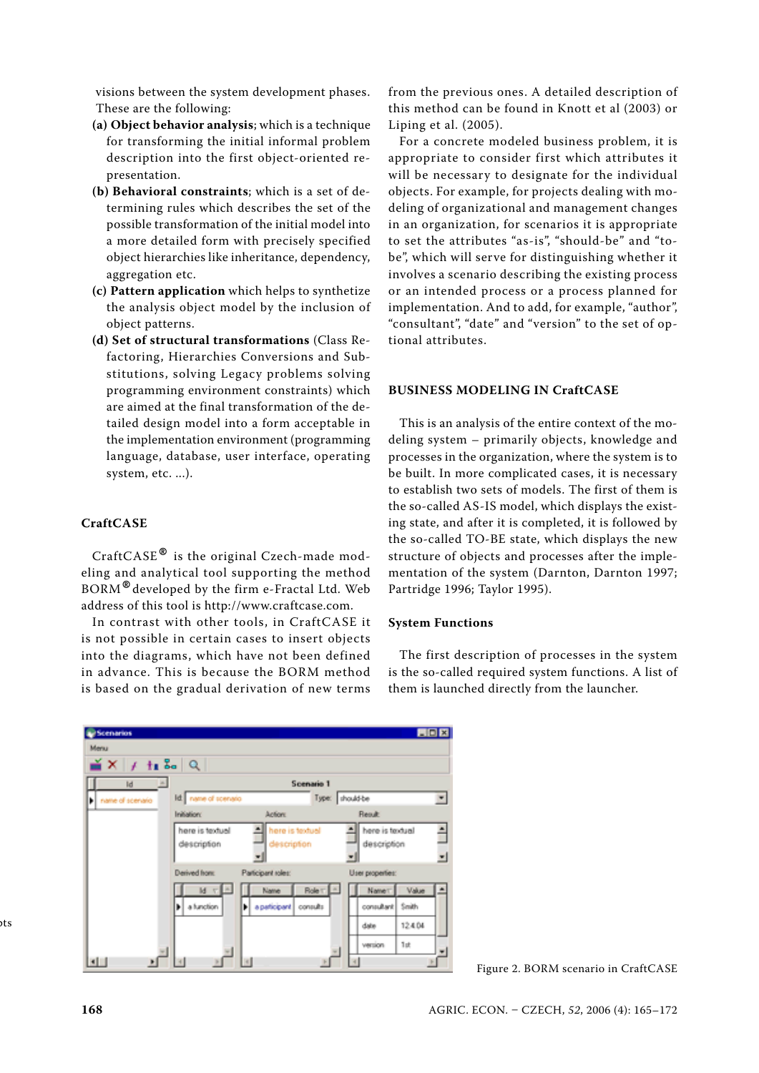visions between the system development phases. These are the following:

- **(a) Object behavior analysis**; which is a technique for transforming the initial informal problem description into the first object-oriented representation.
- **(b) Behavioral constraints**; which is a set of determining rules which describes the set of the possible transformation of the initial model into a more detailed form with precisely specified object hierarchies like inheritance, dependency, aggregation etc.
- **(c) Pattern application** which helps to synthetize the analysis object model by the inclusion of object patterns.
- **(d) Set of structural transformations** (Class Refactoring, Hierarchies Conversions and Substitutions, solving Legacy problems solving programming environment constraints) which are aimed at the final transformation of the detailed design model into a form acceptable in the implementation environment (programming language, database, user interface, operating system, etc. ...).

#### **CraftCASE**

CraftCASE® is the original Czech-made modeling and analytical tool supporting the method BORM®developed by the firm e-Fractal Ltd. Web address of this tool is http://www.craftcase.com.

In contrast with other tools, in CraftCASE it is not possible in certain cases to insert objects into the diagrams, which have not been defined in advance. This is because the BORM method is based on the gradual derivation of new terms



from the previous ones. A detailed description of this method can be found in Knott et al (2003) or Liping et al. (2005).

For a concrete modeled business problem, it is appropriate to consider first which attributes it will be necessary to designate for the individual objects. For example, for projects dealing with modeling of organizational and management changes in an organization, for scenarios it is appropriate to set the attributes "as-is", "should-be" and "tobe", which will serve for distinguishing whether it involves a scenario describing the existing process or an intended process or a process planned for implementation. And to add, for example, "author", "consultant", "date" and "version" to the set of optional attributes.

#### **BUSINESS MODELING IN CraftCASE**

This is an analysis of the entire context of the modeling system – primarily objects, knowledge and processes in the organization, where the system is to be built. In more complicated cases, it is necessary to establish two sets of models. The first of them is the so-called AS-IS model, which displays the existing state, and after it is completed, it is followed by the so-called TO-BE state, which displays the new structure of objects and processes after the implementation of the system (Darnton, Darnton 1997; Partridge 1996; Taylor 1995).

#### **System Functions**

The first description of processes in the system is the so-called required system functions. A list of them is launched directly from the launcher.

ts

Figure 2. BORM scenario in CraftCASE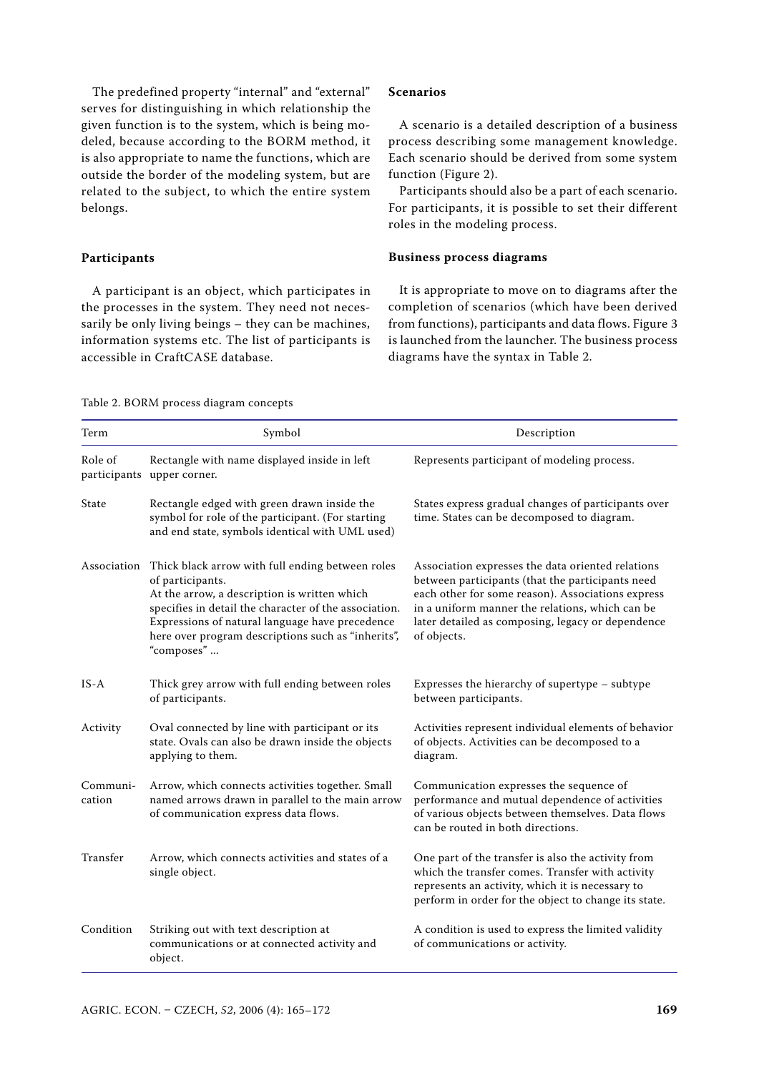The predefined property "internal" and "external" serves for distinguishing in which relationship the given function is to the system, which is being modeled, because according to the BORM method, it is also appropriate to name the functions, which are outside the border of the modeling system, but are related to the subject, to which the entire system belongs.

#### **Participants**

A participant is an object, which participates in the processes in the system. They need not necessarily be only living beings – they can be machines, information systems etc. The list of participants is accessible in CraftCASE database.

#### **Scenarios**

A scenario is a detailed description of a business process describing some management knowledge. Each scenario should be derived from some system function (Figure 2).

Participants should also be a part of each scenario. For participants, it is possible to set their different roles in the modeling process.

#### **Business process diagrams**

It is appropriate to move on to diagrams after the completion of scenarios (which have been derived from functions), participants and data flows. Figure 3 is launched from the launcher. The business process diagrams have the syntax in Table 2.

#### Table 2. BORM process diagram concepts

| Term                    | Symbol                                                                                                                                                                                                                                                                                               | Description                                                                                                                                                                                                                                                                       |
|-------------------------|------------------------------------------------------------------------------------------------------------------------------------------------------------------------------------------------------------------------------------------------------------------------------------------------------|-----------------------------------------------------------------------------------------------------------------------------------------------------------------------------------------------------------------------------------------------------------------------------------|
| Role of<br>participants | Rectangle with name displayed inside in left<br>upper corner.                                                                                                                                                                                                                                        | Represents participant of modeling process.                                                                                                                                                                                                                                       |
| State                   | Rectangle edged with green drawn inside the<br>symbol for role of the participant. (For starting<br>and end state, symbols identical with UML used)                                                                                                                                                  | States express gradual changes of participants over<br>time. States can be decomposed to diagram.                                                                                                                                                                                 |
| Association             | Thick black arrow with full ending between roles<br>of participants.<br>At the arrow, a description is written which<br>specifies in detail the character of the association.<br>Expressions of natural language have precedence<br>here over program descriptions such as "inherits",<br>"composes" | Association expresses the data oriented relations<br>between participants (that the participants need<br>each other for some reason). Associations express<br>in a uniform manner the relations, which can be<br>later detailed as composing, legacy or dependence<br>of objects. |
| $IS-A$                  | Thick grey arrow with full ending between roles<br>of participants.                                                                                                                                                                                                                                  | Expresses the hierarchy of supertype - subtype<br>between participants.                                                                                                                                                                                                           |
| Activity                | Oval connected by line with participant or its<br>state. Ovals can also be drawn inside the objects<br>applying to them.                                                                                                                                                                             | Activities represent individual elements of behavior<br>of objects. Activities can be decomposed to a<br>diagram.                                                                                                                                                                 |
| Communi-<br>cation      | Arrow, which connects activities together. Small<br>named arrows drawn in parallel to the main arrow<br>of communication express data flows.                                                                                                                                                         | Communication expresses the sequence of<br>performance and mutual dependence of activities<br>of various objects between themselves. Data flows<br>can be routed in both directions.                                                                                              |
| Transfer                | Arrow, which connects activities and states of a<br>single object.                                                                                                                                                                                                                                   | One part of the transfer is also the activity from<br>which the transfer comes. Transfer with activity<br>represents an activity, which it is necessary to<br>perform in order for the object to change its state.                                                                |
| Condition               | Striking out with text description at<br>communications or at connected activity and<br>object.                                                                                                                                                                                                      | A condition is used to express the limited validity<br>of communications or activity.                                                                                                                                                                                             |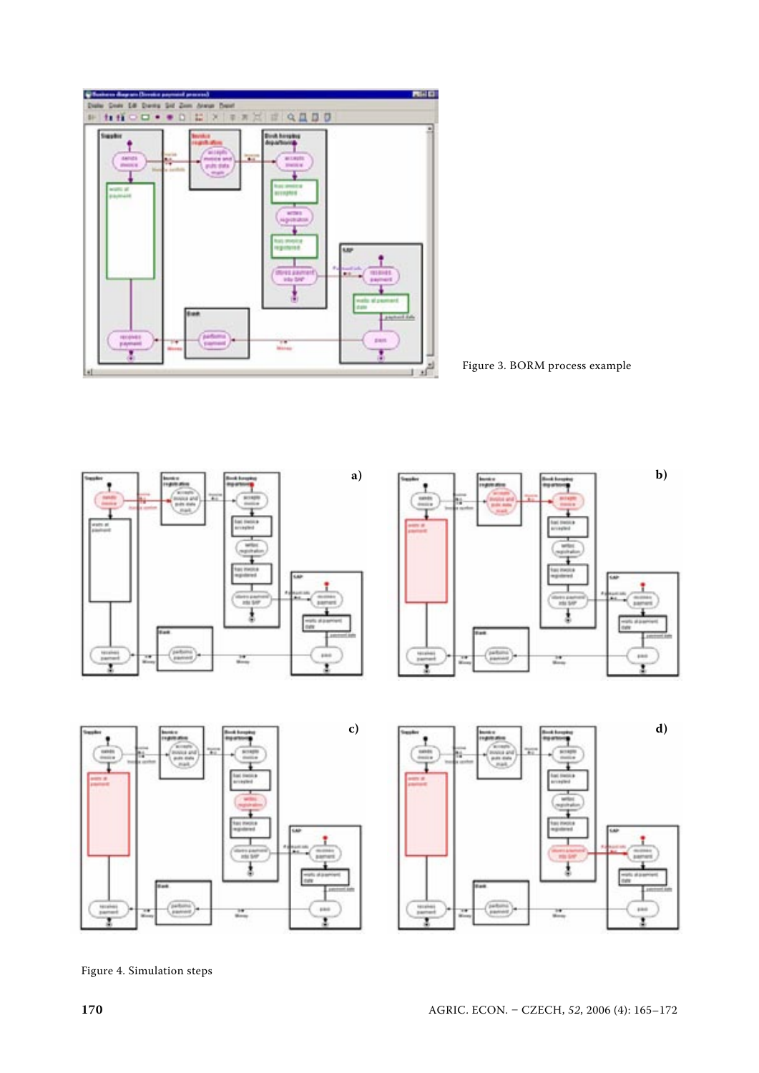

Figure 3. BORM process example



Figure 4. Simulation steps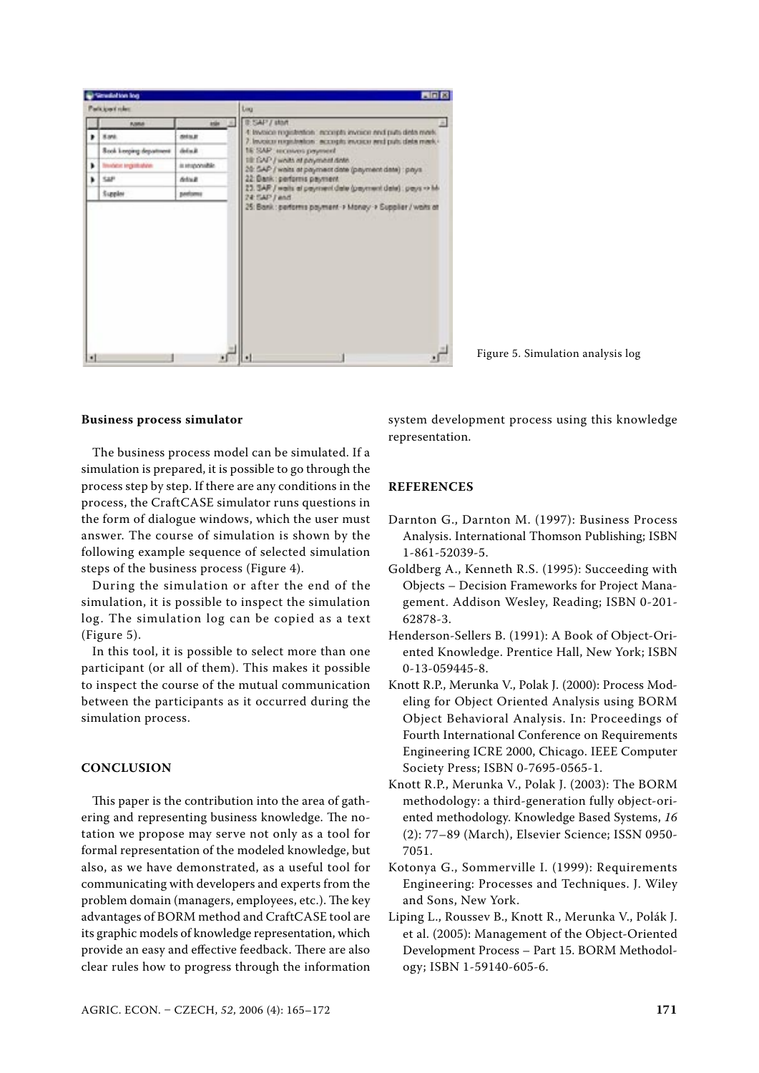|   | Park your rules:               |                 | ting                                                                                                                           |
|---|--------------------------------|-----------------|--------------------------------------------------------------------------------------------------------------------------------|
|   | <b>Publish</b>                 | sir 2           | <b>ESAP/MM</b>                                                                                                                 |
|   | $p$   Kank                     | detaut          | 4. Invitice regulatedos: recorpla invitice and puts data mark.<br>7. Invoice registration: accepts invoice and puts data mark- |
|   | <b>Sook keeping department</b> | delink          | 16 SAP acceives payment                                                                                                        |
| ٠ | Invisitor Ingeles              | is responsible. | 18: GAP / works at payment date.<br>20: SAP / waits at payment date (payment date) : pays                                      |
| ١ | <b>Saft</b>                    | <b>Adout</b>    | 22 Dank: performs payment                                                                                                      |
|   | Suppler                        | performs        | 23. SAP / waits at payment date (payment date) : pays +> M-<br>24 SAP Fend                                                     |
|   |                                |                 |                                                                                                                                |
|   |                                |                 |                                                                                                                                |

Figure 5. Simulation analysis log

#### **Business process simulator**

The business process model can be simulated. If a simulation is prepared, it is possible to go through the process step by step. If there are any conditions in the process, the CraftCASE simulator runs questions in the form of dialogue windows, which the user must answer. The course of simulation is shown by the following example sequence of selected simulation steps of the business process (Figure 4).

During the simulation or after the end of the simulation, it is possible to inspect the simulation log. The simulation log can be copied as a text (Figure 5).

In this tool, it is possible to select more than one participant (or all of them). This makes it possible to inspect the course of the mutual communication between the participants as it occurred during the simulation process.

#### **CONCLUSION**

This paper is the contribution into the area of gathering and representing business knowledge. The notation we propose may serve not only as a tool for formal representation of the modeled knowledge, but also, as we have demonstrated, as a useful tool for communicating with developers and experts from the problem domain (managers, employees, etc.). The key advantages of BORM method and CraftCASE tool are its graphic models of knowledge representation, which provide an easy and effective feedback. There are also clear rules how to progress through the information system development process using this knowledge representation.

#### **REFERENCES**

- Darnton G., Darnton M. (1997): Business Process Analysis. International Thomson Publishing; ISBN 1-861-52039-5.
- Goldberg A., Kenneth R.S. (1995): Succeeding with Objects – Decision Frameworks for Project Management. Addison Wesley, Reading; ISBN 0-201- 62878-3.
- Henderson-Sellers B. (1991): A Book of Object-Oriented Knowledge. Prentice Hall, New York; ISBN 0-13-059445-8.
- Knott R.P., Merunka V., Polak J. (2000): Process Modeling for Object Oriented Analysis using BORM Object Behavioral Analysis. In: Proceedings of Fourth International Conference on Requirements Engineering ICRE 2000, Chicago. IEEE Computer Society Press; ISBN 0-7695-0565-1.
- Knott R.P., Merunka V., Polak J. (2003): The BORM methodology: a third-generation fully object-oriented methodology. Knowledge Based Systems, *16*  (2): 77–89 (March), Elsevier Science; ISSN 0950- 7051.
- Kotonya G., Sommerville I. (1999): Requirements Engineering: Processes and Techniques. J. Wiley and Sons, New York.
- Liping L., Roussev B., Knott R., Merunka V., Polák J. et al. (2005): Management of the Object-Oriented Development Process – Part 15. BORM Methodology; ISBN 1-59140-605-6.